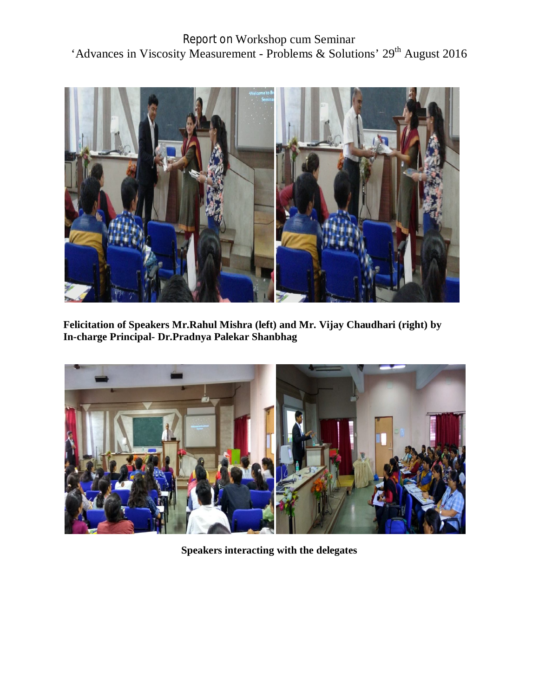Report on Workshop cum Seminar 'Advances in Viscosity Measurement - Problems & Solutions' 29<sup>th</sup> August 2016



**Felicitation of Speakers Mr.Rahul Mishra (left) and Mr. Vijay Chaudhari (right) by In-charge Principal- Dr.Pradnya Palekar Shanbhag**



**Speakers interacting with the delegates**